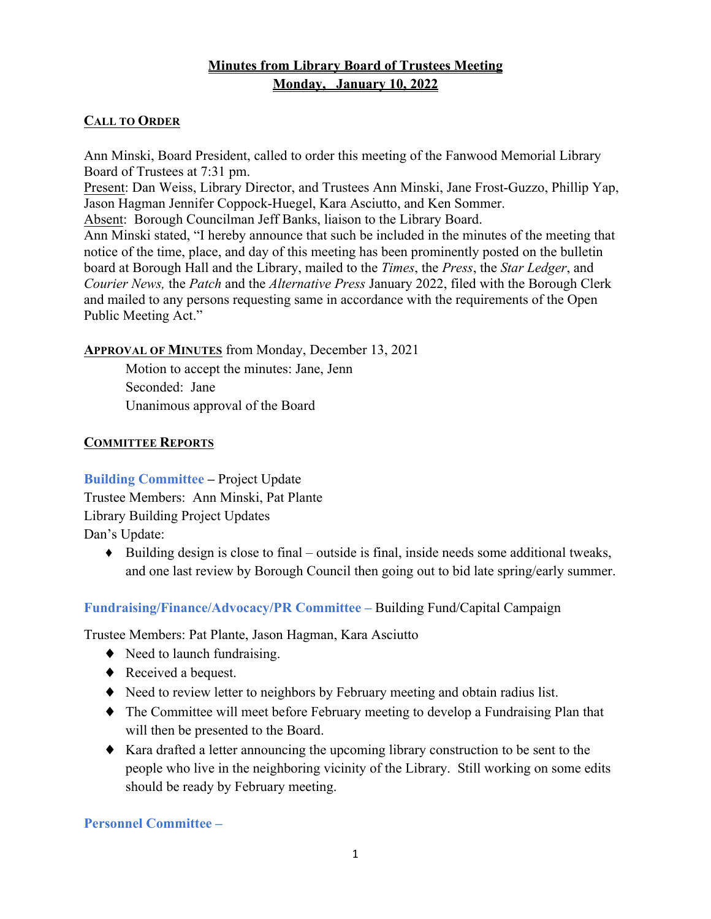# **Minutes from Library Board of Trustees Meeting Monday, January 10, 2022**

### **CALL TO ORDER**

Ann Minski, Board President, called to order this meeting of the Fanwood Memorial Library Board of Trustees at 7:31 pm.

Present: Dan Weiss, Library Director, and Trustees Ann Minski, Jane Frost-Guzzo, Phillip Yap, Jason Hagman Jennifer Coppock-Huegel, Kara Asciutto, and Ken Sommer.

Absent: Borough Councilman Jeff Banks, liaison to the Library Board.

Ann Minski stated, "I hereby announce that such be included in the minutes of the meeting that notice of the time, place, and day of this meeting has been prominently posted on the bulletin board at Borough Hall and the Library, mailed to the *Times*, the *Press*, the *Star Ledger*, and *Courier News,* the *Patch* and the *Alternative Press* January 2022, filed with the Borough Clerk and mailed to any persons requesting same in accordance with the requirements of the Open Public Meeting Act."

#### **APPROVAL OF MINUTES** from Monday, December 13, 2021

Motion to accept the minutes: Jane, Jenn Seconded: Jane Unanimous approval of the Board

#### **COMMITTEE REPORTS**

**Building Committee –** Project Update Trustee Members: Ann Minski, Pat Plante Library Building Project Updates Dan's Update:

♦ Building design is close to final – outside is final, inside needs some additional tweaks, and one last review by Borough Council then going out to bid late spring/early summer.

## **Fundraising/Finance/Advocacy/PR Committee –** Building Fund/Capital Campaign

Trustee Members: Pat Plante, Jason Hagman, Kara Asciutto

- $\blacklozenge$  Need to launch fundraising.
- ◆ Received a bequest.
- ♦ Need to review letter to neighbors by February meeting and obtain radius list.
- ♦ The Committee will meet before February meeting to develop a Fundraising Plan that will then be presented to the Board.
- ♦ Kara drafted a letter announcing the upcoming library construction to be sent to the people who live in the neighboring vicinity of the Library. Still working on some edits should be ready by February meeting.

**Personnel Committee –**